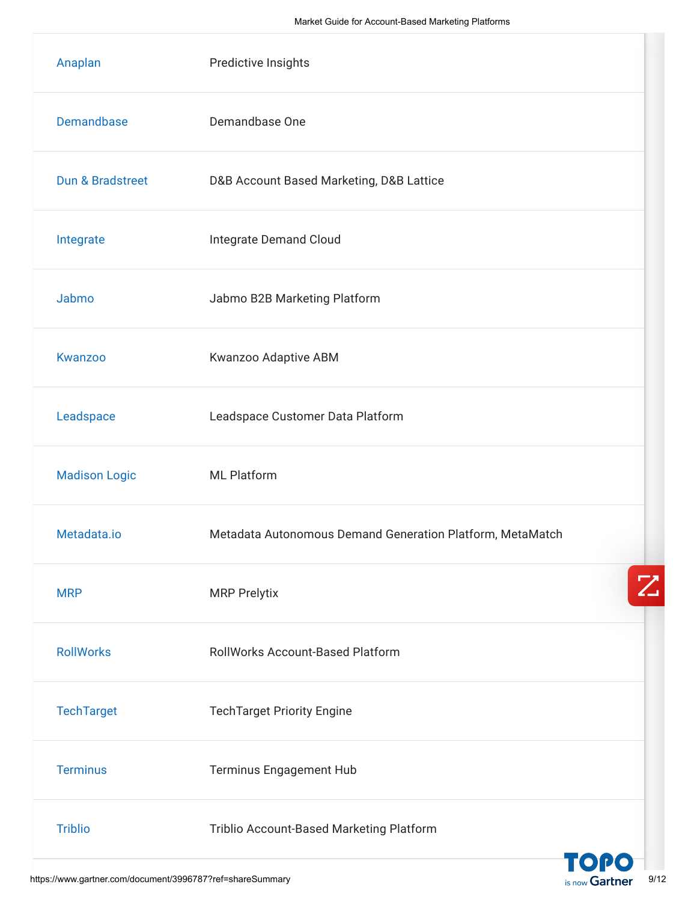| Anaplan              | Predictive Insights                                       |
|----------------------|-----------------------------------------------------------|
| <b>Demandbase</b>    | Demandbase One                                            |
| Dun & Bradstreet     | D&B Account Based Marketing, D&B Lattice                  |
| Integrate            | Integrate Demand Cloud                                    |
| Jabmo                | Jabmo B2B Marketing Platform                              |
| Kwanzoo              | Kwanzoo Adaptive ABM                                      |
| Leadspace            | Leadspace Customer Data Platform                          |
| <b>Madison Logic</b> | <b>ML Platform</b>                                        |
| Metadata.io          | Metadata Autonomous Demand Generation Platform, MetaMatch |
| <b>MRP</b>           | <b>MRP Prelytix</b>                                       |
| <b>RollWorks</b>     | <b>RollWorks Account-Based Platform</b>                   |
| <b>TechTarget</b>    | <b>TechTarget Priority Engine</b>                         |
| <b>Terminus</b>      | <b>Terminus Engagement Hub</b>                            |
| <b>Triblio</b>       | Triblio Account-Based Marketing Platform                  |
|                      | TOPO                                                      |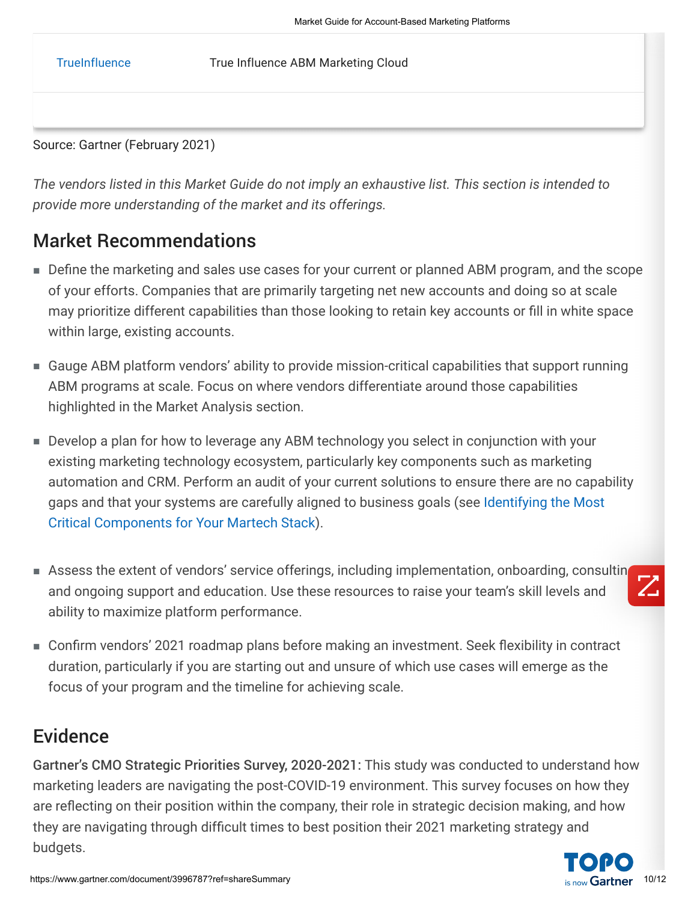[TrueInfluence](https://trueinfluence.com/) True Influence ABM Marketing Cloud

Source: Gartner (February 2021)

*The vendors listed in this Market Guide do not imply an exhaustive list. This section is intended to provide more understanding of the market and its offerings.*

#### Market Recommendations

- Define the marketing and sales use cases for your current or planned ABM program, and the scope of your efforts. Companies that are primarily targeting net new accounts and doing so at scale may prioritize different capabilities than those looking to retain key accounts or fill in white space within large, existing accounts.
- Gauge ABM platform vendors' ability to provide mission-critical capabilities that support running ABM programs at scale. Focus on where vendors differentiate around those capabilities highlighted in the Market Analysis section.
- Develop a plan for how to leverage any ABM technology you select in conjunction with your existing marketing technology ecosystem, particularly key components such as marketing automation and CRM. Perform an audit of your current solutions to ensure there are no capability [gaps and that your systems are carefully aligned to business goals \(see Identifying the Most](javascript:void(0);) Critical Components for Your Martech Stack).
- Assess the extent of vendors' service offerings, including implementation, onboarding, consultin and ongoing support and education. Use these resources to raise your team's skill levels and ability to maximize platform performance.



Confirm vendors' 2021 roadmap plans before making an investment. Seek flexibility in contract ■duration, particularly if you are starting out and unsure of which use cases will emerge as the focus of your program and the timeline for achieving scale.

### Evidence

Gartner's CMO Strategic Priorities Survey, 2020-2021: This study was conducted to understand how marketing leaders are navigating the post-COVID-19 environment. This survey focuses on how they are reflecting on their position within the company, their role in strategic decision making, and how they are navigating through difficult times to best position their 2021 marketing strategy and budgets.

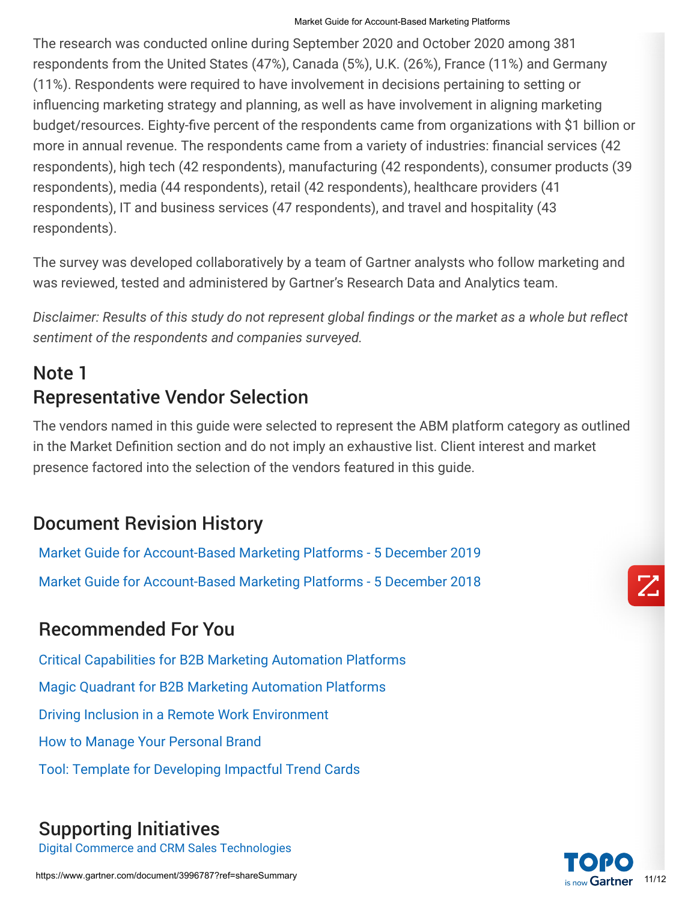#### Market Guide for Account-Based Marketing Platforms

The research was conducted online during September 2020 and October 2020 among 381 respondents from the United States (47%), Canada (5%), U.K. (26%), France (11%) and Germany (11%). Respondents were required to have involvement in decisions pertaining to setting or influencing marketing strategy and planning, as well as have involvement in aligning marketing budget/resources. Eighty-five percent of the respondents came from organizations with \$1 billion or more in annual revenue. The respondents came from a variety of industries: financial services (42 respondents), high tech (42 respondents), manufacturing (42 respondents), consumer products (39 respondents), media (44 respondents), retail (42 respondents), healthcare providers (41 respondents), IT and business services (47 respondents), and travel and hospitality (43 respondents).

The survey was developed collaboratively by a team of Gartner analysts who follow marketing and was reviewed, tested and administered by Gartner's Research Data and Analytics team.

*Disclaimer: Results of this study do not represent global findings or the market as a whole but reflect sentiment of the respondents and companies surveyed.*

# Note 1 Representative Vendor Selection

The vendors named in this guide were selected to represent the ABM platform category as outlined in the Market Definition section and do not imply an exhaustive list. Client interest and market presence factored into the selection of the vendors featured in this guide.

## Document Revision History

[Market Guide for Account-Based Marketing Platforms - 5 December 2019](https://www.gartner.com/document/code/381412?ref=dochist) [Market Guide for Account-Based Marketing Platforms - 5 December 2018](https://www.gartner.com/document/code/373068?ref=dochist)

## Recommended For You

[Critical Capabilities for B2B Marketing Automation Platforms](https://www.gartner.com/document/4005976?ref=algobottomrec&refval=3996787) [Magic Quadrant for B2B Marketing Automation Platforms](https://www.gartner.com/document/4005959?ref=algobottomrec&refval=3996787) [Driving Inclusion in a Remote Work Environment](https://www.gartner.com/document/3986519?ref=algobottomrec&refval=3996787) [How to Manage Your Personal Brand](https://www.gartner.com/document/3982852?ref=algobottomrec&refval=3996787) [Tool: Template for Developing Impactful Trend Cards](https://www.gartner.com/document/4007844?ref=algobottomrec&refval=3996787)

## Supporting Initiatives

[Digital Commerce and CRM Sales Technologies](https://www.gartner.com/explore/initiatives/overview/44594?ref=doc-conend)